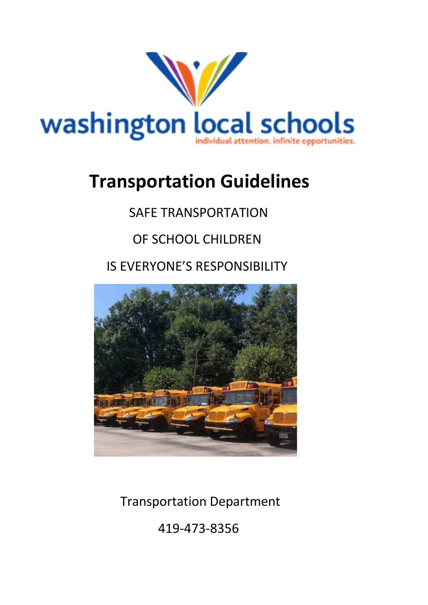

# **Transportation Guidelines**

SAFE TRANSPORTATION

OF SCHOOL CHILDREN

IS EVERYONE'S RESPONSIBILITY



Transportation Department

419-473-8356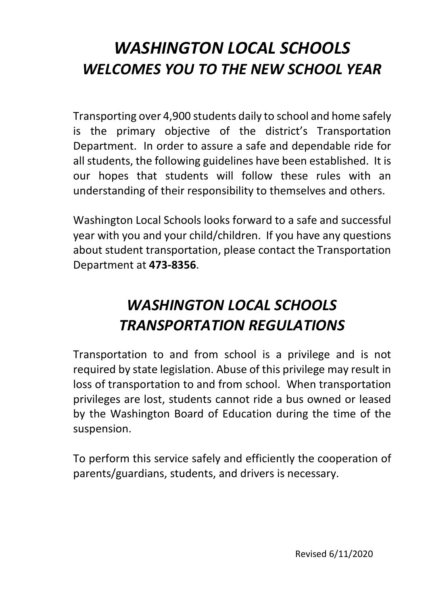# *WASHINGTON LOCAL SCHOOLS WELCOMES YOU TO THE NEW SCHOOL YEAR*

Transporting over 4,900 students daily to school and home safely is the primary objective of the district's Transportation Department. In order to assure a safe and dependable ride for all students, the following guidelines have been established. It is our hopes that students will follow these rules with an understanding of their responsibility to themselves and others.

Washington Local Schools looks forward to a safe and successful year with you and your child/children. If you have any questions about student transportation, please contact the Transportation Department at **473-8356**.

## *WASHINGTON LOCAL SCHOOLS TRANSPORTATION REGULATIONS*

Transportation to and from school is a privilege and is not required by state legislation. Abuse of this privilege may result in loss of transportation to and from school. When transportation privileges are lost, students cannot ride a bus owned or leased by the Washington Board of Education during the time of the suspension.

To perform this service safely and efficiently the cooperation of parents/guardians, students, and drivers is necessary.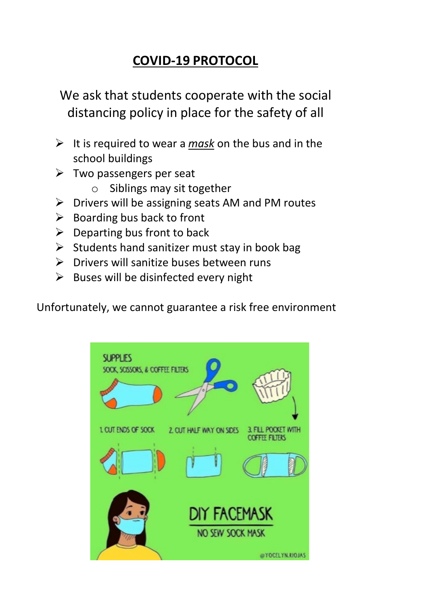## **COVID-19 PROTOCOL**

We ask that students cooperate with the social distancing policy in place for the safety of all

- $\triangleright$  It is required to wear a *mask* on the bus and in the school buildings
- $\triangleright$  Two passengers per seat
	- o Siblings may sit together
- $\triangleright$  Drivers will be assigning seats AM and PM routes
- $\triangleright$  Boarding bus back to front
- $\triangleright$  Departing bus front to back
- $\triangleright$  Students hand sanitizer must stay in book bag
- $\triangleright$  Drivers will sanitize buses between runs
- $\triangleright$  Buses will be disinfected every night

Unfortunately, we cannot guarantee a risk free environment

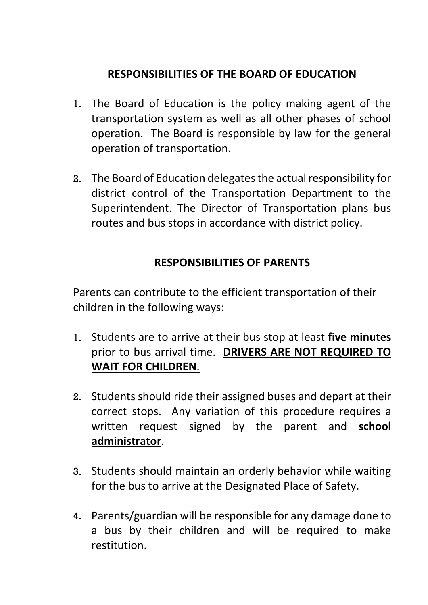#### **RESPONSIBILITIES OF THE BOARD OF EDUCATION**

- 1. The Board of Education is the policy making agent of the transportation system as well as all other phases of school operation. The Board is responsible by law for the general operation of transportation.
- 2. The Board of Education delegates the actual responsibility for district control of the Transportation Department to the Superintendent. The Director of Transportation plans bus routes and bus stops in accordance with district policy.

#### **RESPONSIBILITIES OF PARENTS**

Parents can contribute to the efficient transportation of their children in the following ways:

- 1. Students are to arrive at their bus stop at least **five minutes** prior to bus arrival time. **DRIVERS ARE NOT REQUIRED TO WAIT FOR CHILDREN**.
- 2. Students should ride their assigned buses and depart at their correct stops. Any variation of this procedure requires a written request signed by the parent and **school administrator**.
- 3. Students should maintain an orderly behavior while waiting for the bus to arrive at the Designated Place of Safety.
- 4. Parents/guardian will be responsible for any damage done to a bus by their children and will be required to make restitution.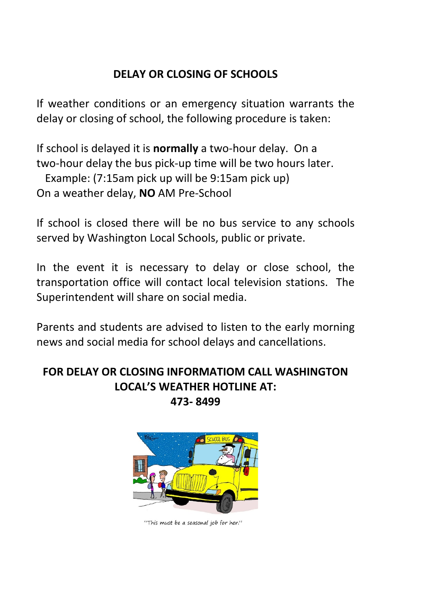#### **DELAY OR CLOSING OF SCHOOLS**

If weather conditions or an emergency situation warrants the delay or closing of school, the following procedure is taken:

If school is delayed it is **normally** a two-hour delay. On a two-hour delay the bus pick-up time will be two hours later. Example: (7:15am pick up will be 9:15am pick up) On a weather delay, **NO** AM Pre-School

If school is closed there will be no bus service to any schools served by Washington Local Schools, public or private.

In the event it is necessary to delay or close school, the transportation office will contact local television stations. The Superintendent will share on social media.

Parents and students are advised to listen to the early morning news and social media for school delays and cancellations.

#### **FOR DELAY OR CLOSING INFORMATIOM CALL WASHINGTON LOCAL'S WEATHER HOTLINE AT: 473- 8499**



"This must be a seasonal job for her."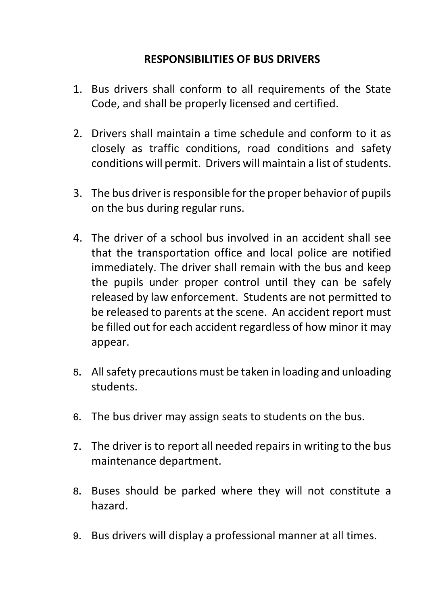#### **RESPONSIBILITIES OF BUS DRIVERS**

- 1. Bus drivers shall conform to all requirements of the State Code, and shall be properly licensed and certified.
- 2. Drivers shall maintain a time schedule and conform to it as closely as traffic conditions, road conditions and safety conditions will permit. Drivers will maintain a list of students.
- 3. The bus driver is responsible for the proper behavior of pupils on the bus during regular runs.
- 4. The driver of a school bus involved in an accident shall see that the transportation office and local police are notified immediately. The driver shall remain with the bus and keep the pupils under proper control until they can be safely released by law enforcement. Students are not permitted to be released to parents at the scene. An accident report must be filled out for each accident regardless of how minor it may appear.
- 5. All safety precautions must be taken in loading and unloading students.
- 6. The bus driver may assign seats to students on the bus.
- 7. The driver is to report all needed repairs in writing to the bus maintenance department.
- 8. Buses should be parked where they will not constitute a hazard.
- 9. Bus drivers will display a professional manner at all times.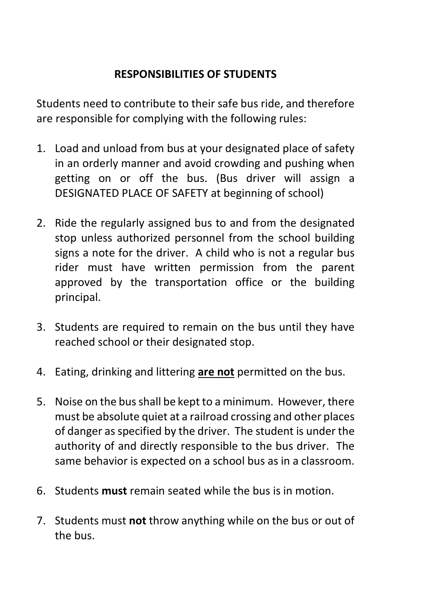### **RESPONSIBILITIES OF STUDENTS**

Students need to contribute to their safe bus ride, and therefore are responsible for complying with the following rules:

- 1. Load and unload from bus at your designated place of safety in an orderly manner and avoid crowding and pushing when getting on or off the bus. (Bus driver will assign a DESIGNATED PLACE OF SAFETY at beginning of school)
- 2. Ride the regularly assigned bus to and from the designated stop unless authorized personnel from the school building signs a note for the driver. A child who is not a regular bus rider must have written permission from the parent approved by the transportation office or the building principal.
- 3. Students are required to remain on the bus until they have reached school or their designated stop.
- 4. Eating, drinking and littering **are not** permitted on the bus.
- 5. Noise on the bus shall be kept to a minimum. However, there must be absolute quiet at a railroad crossing and other places of danger as specified by the driver. The student is under the authority of and directly responsible to the bus driver. The same behavior is expected on a school bus as in a classroom.
- 6. Students **must** remain seated while the bus is in motion.
- 7. Students must **not** throw anything while on the bus or out of the bus.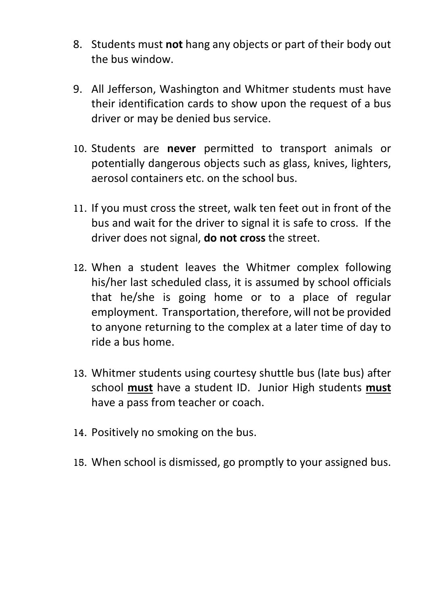- 8. Students must **not** hang any objects or part of their body out the bus window.
- 9. All Jefferson, Washington and Whitmer students must have their identification cards to show upon the request of a bus driver or may be denied bus service.
- 10. Students are **never** permitted to transport animals or potentially dangerous objects such as glass, knives, lighters, aerosol containers etc. on the school bus.
- 11. If you must cross the street, walk ten feet out in front of the bus and wait for the driver to signal it is safe to cross. If the driver does not signal, **do not cross** the street.
- 12. When a student leaves the Whitmer complex following his/her last scheduled class, it is assumed by school officials that he/she is going home or to a place of regular employment. Transportation, therefore, will not be provided to anyone returning to the complex at a later time of day to ride a bus home.
- 13. Whitmer students using courtesy shuttle bus (late bus) after school **must** have a student ID. Junior High students **must** have a pass from teacher or coach.
- 14. Positively no smoking on the bus.
- 15. When school is dismissed, go promptly to your assigned bus.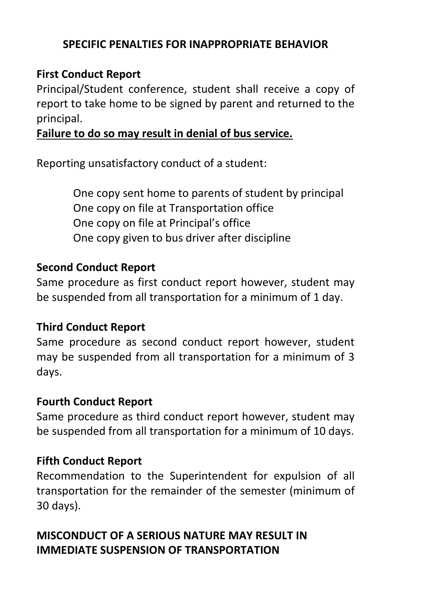#### **SPECIFIC PENALTIES FOR INAPPROPRIATE BEHAVIOR**

#### **First Conduct Report**

Principal/Student conference, student shall receive a copy of report to take home to be signed by parent and returned to the principal.

#### **Failure to do so may result in denial of bus service.**

Reporting unsatisfactory conduct of a student:

One copy sent home to parents of student by principal One copy on file at Transportation office One copy on file at Principal's office One copy given to bus driver after discipline

#### **Second Conduct Report**

Same procedure as first conduct report however, student may be suspended from all transportation for a minimum of 1 day.

#### **Third Conduct Report**

Same procedure as second conduct report however, student may be suspended from all transportation for a minimum of 3 days.

#### **Fourth Conduct Report**

Same procedure as third conduct report however, student may be suspended from all transportation for a minimum of 10 days.

#### **Fifth Conduct Report**

Recommendation to the Superintendent for expulsion of all transportation for the remainder of the semester (minimum of 30 days).

## **MISCONDUCT OF A SERIOUS NATURE MAY RESULT IN IMMEDIATE SUSPENSION OF TRANSPORTATION**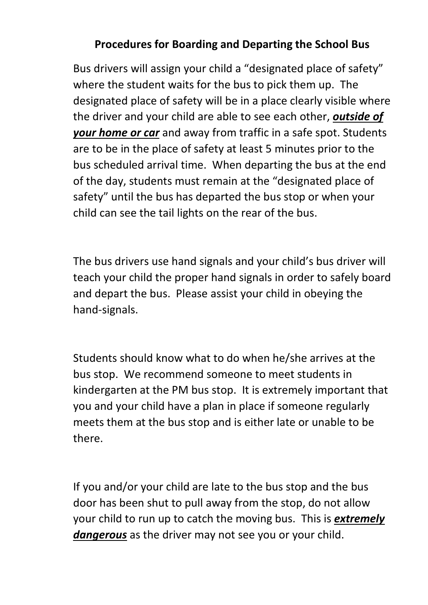#### **Procedures for Boarding and Departing the School Bus**

Bus drivers will assign your child a "designated place of safety" where the student waits for the bus to pick them up. The designated place of safety will be in a place clearly visible where the driver and your child are able to see each other, *outside of your home or car* and away from traffic in a safe spot. Students are to be in the place of safety at least 5 minutes prior to the bus scheduled arrival time. When departing the bus at the end of the day, students must remain at the "designated place of safety" until the bus has departed the bus stop or when your child can see the tail lights on the rear of the bus.

The bus drivers use hand signals and your child's bus driver will teach your child the proper hand signals in order to safely board and depart the bus. Please assist your child in obeying the hand-signals.

Students should know what to do when he/she arrives at the bus stop. We recommend someone to meet students in kindergarten at the PM bus stop. It is extremely important that you and your child have a plan in place if someone regularly meets them at the bus stop and is either late or unable to be there.

If you and/or your child are late to the bus stop and the bus door has been shut to pull away from the stop, do not allow your child to run up to catch the moving bus. This is *extremely dangerous* as the driver may not see you or your child.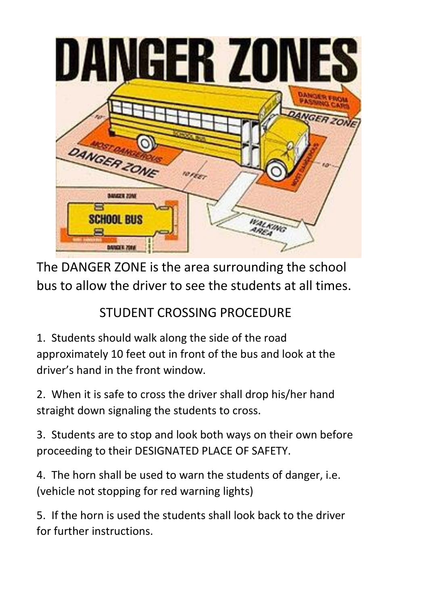

The DANGER ZONE is the area surrounding the school bus to allow the driver to see the students at all times.

STUDENT CROSSING PROCEDURE

1. Students should walk along the side of the road approximately 10 feet out in front of the bus and look at the driver's hand in the front window.

2. When it is safe to cross the driver shall drop his/her hand straight down signaling the students to cross.

3. Students are to stop and look both ways on their own before proceeding to their DESIGNATED PLACE OF SAFETY.

4. The horn shall be used to warn the students of danger, i.e. (vehicle not stopping for red warning lights)

5. If the horn is used the students shall look back to the driver for further instructions.